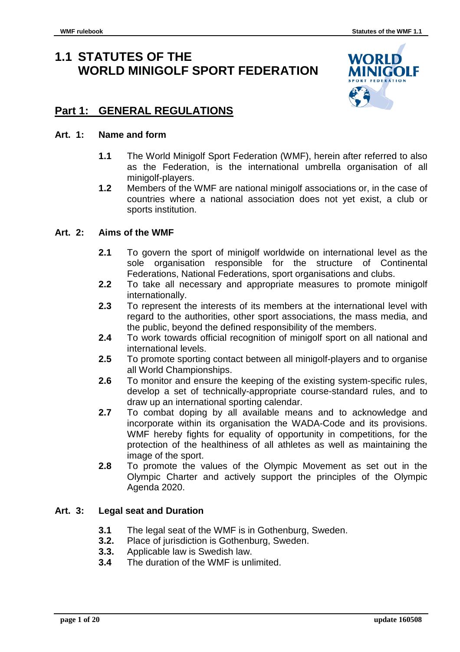# **1.1 STATUTES OF THE WORLD MINIGOLF SPORT FEDERATION**



## **Part 1: GENERAL REGULATIONS**

#### **Art. 1: Name and form**

- **1.1** The World Minigolf Sport Federation (WMF), herein after referred to also as the Federation, is the international umbrella organisation of all minigolf-players.
- **1.2** Members of the WMF are national minigolf associations or, in the case of countries where a national association does not yet exist, a club or sports institution.

#### **Art. 2: Aims of the WMF**

- **2.1** To govern the sport of minigolf worldwide on international level as the sole organisation responsible for the structure of Continental Federations, National Federations, sport organisations and clubs.
- **2.2** To take all necessary and appropriate measures to promote minigolf internationally.
- **2.3** To represent the interests of its members at the international level with regard to the authorities, other sport associations, the mass media, and the public, beyond the defined responsibility of the members.
- **2.4** To work towards official recognition of minigolf sport on all national and international levels.
- **2.5** To promote sporting contact between all minigolf-players and to organise all World Championships.
- **2.6** To monitor and ensure the keeping of the existing system-specific rules, develop a set of technically-appropriate course-standard rules, and to draw up an international sporting calendar.
- **2.7** To combat doping by all available means and to acknowledge and incorporate within its organisation the WADA-Code and its provisions. WMF hereby fights for equality of opportunity in competitions, for the protection of the healthiness of all athletes as well as maintaining the image of the sport.
- **2.8** To promote the values of the Olympic Movement as set out in the Olympic Charter and actively support the principles of the Olympic Agenda 2020.

#### **Art. 3: Legal seat and Duration**

- **3.1** The legal seat of the WMF is in Gothenburg, Sweden.
- **3.2.** Place of jurisdiction is Gothenburg, Sweden.
- **3.3.** Applicable law is Swedish law.
- **3.4** The duration of the WMF is unlimited.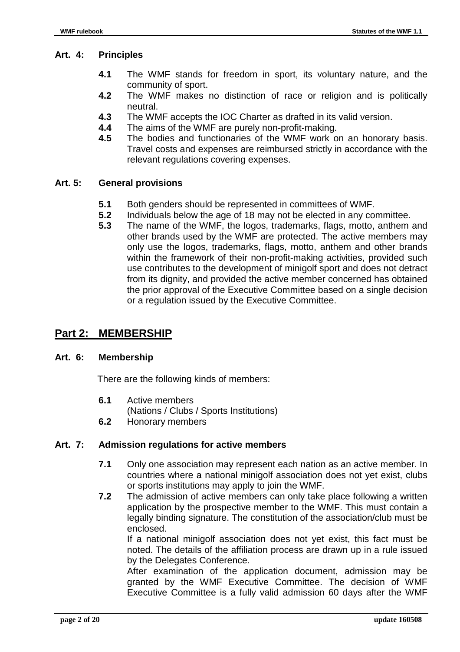#### **Art. 4: Principles**

- **4.1** The WMF stands for freedom in sport, its voluntary nature, and the community of sport.
- **4.2** The WMF makes no distinction of race or religion and is politically neutral.
- **4.3** The WMF accepts the IOC Charter as drafted in its valid version.
- **4.4** The aims of the WMF are purely non-profit-making.
- **4.5** The bodies and functionaries of the WMF work on an honorary basis. Travel costs and expenses are reimbursed strictly in accordance with the relevant regulations covering expenses.

#### **Art. 5: General provisions**

- **5.1** Both genders should be represented in committees of WMF.
- **5.2** Individuals below the age of 18 may not be elected in any committee.<br>**5.3** The name of the WMF the logos trademarks flags motto anthem
- **5.3** The name of the WMF, the logos, trademarks, flags, motto, anthem and other brands used by the WMF are protected. The active members may only use the logos, trademarks, flags, motto, anthem and other brands within the framework of their non-profit-making activities, provided such use contributes to the development of minigolf sport and does not detract from its dignity, and provided the active member concerned has obtained the prior approval of the Executive Committee based on a single decision or a regulation issued by the Executive Committee.

## **Part 2: MEMBERSHIP**

#### **Art. 6: Membership**

There are the following kinds of members:

- **6.1** Active members (Nations / Clubs / Sports Institutions)
- **6.2** Honorary members

#### **Art. 7: Admission regulations for active members**

- **7.1** Only one association may represent each nation as an active member. In countries where a national minigolf association does not yet exist, clubs or sports institutions may apply to join the WMF.
- **7.2** The admission of active members can only take place following a written application by the prospective member to the WMF. This must contain a legally binding signature. The constitution of the association/club must be enclosed.

 If a national minigolf association does not yet exist, this fact must be noted. The details of the affiliation process are drawn up in a rule issued by the Delegates Conference.

 After examination of the application document, admission may be granted by the WMF Executive Committee. The decision of WMF Executive Committee is a fully valid admission 60 days after the WMF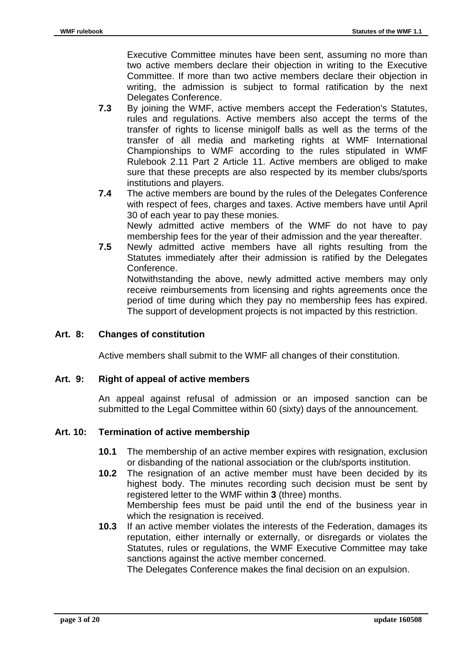Executive Committee minutes have been sent, assuming no more than two active members declare their objection in writing to the Executive Committee. If more than two active members declare their objection in writing, the admission is subject to formal ratification by the next Delegates Conference.

- **7.3** By joining the WMF, active members accept the Federation's Statutes, rules and regulations. Active members also accept the terms of the transfer of rights to license minigolf balls as well as the terms of the transfer of all media and marketing rights at WMF International Championships to WMF according to the rules stipulated in WMF Rulebook 2.11 Part 2 Article 11. Active members are obliged to make sure that these precepts are also respected by its member clubs/sports institutions and players.
- **7.4** The active members are bound by the rules of the Delegates Conference with respect of fees, charges and taxes. Active members have until April 30 of each year to pay these monies. Newly admitted active members of the WMF do not have to pay membership fees for the year of their admission and the year thereafter.
- **7.5** Newly admitted active members have all rights resulting from the Statutes immediately after their admission is ratified by the Delegates Conference.

 Notwithstanding the above, newly admitted active members may only receive reimbursements from licensing and rights agreements once the period of time during which they pay no membership fees has expired. The support of development projects is not impacted by this restriction.

#### **Art. 8: Changes of constitution**

Active members shall submit to the WMF all changes of their constitution.

#### **Art. 9: Right of appeal of active members**

An appeal against refusal of admission or an imposed sanction can be submitted to the Legal Committee within 60 (sixty) days of the announcement.

#### **Art. 10: Termination of active membership**

- **10.1** The membership of an active member expires with resignation, exclusion or disbanding of the national association or the club/sports institution.
- **10.2** The resignation of an active member must have been decided by its highest body. The minutes recording such decision must be sent by registered letter to the WMF within **3** (three) months. Membership fees must be paid until the end of the business year in which the resignation is received.
- **10.3** If an active member violates the interests of the Federation, damages its reputation, either internally or externally, or disregards or violates the Statutes, rules or regulations, the WMF Executive Committee may take sanctions against the active member concerned.

The Delegates Conference makes the final decision on an expulsion.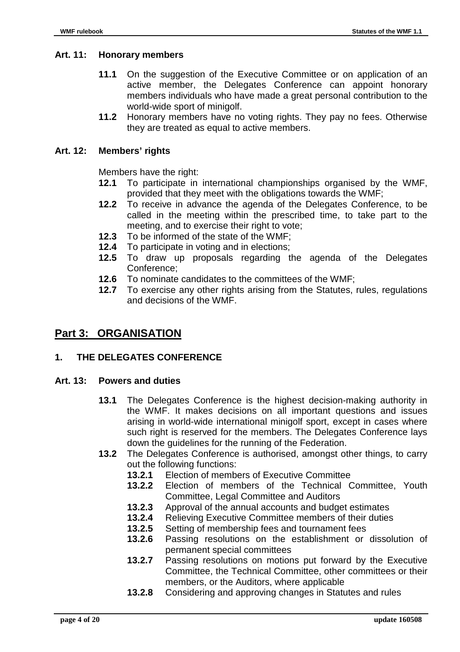#### **Art. 11: Honorary members**

- **11.1** On the suggestion of the Executive Committee or on application of an active member, the Delegates Conference can appoint honorary members individuals who have made a great personal contribution to the world-wide sport of minigolf.
- **11.2** Honorary members have no voting rights. They pay no fees. Otherwise they are treated as equal to active members.

#### **Art. 12: Members' rights**

Members have the right:

- **12.1** To participate in international championships organised by the WMF, provided that they meet with the obligations towards the WMF;
- **12.2** To receive in advance the agenda of the Delegates Conference, to be called in the meeting within the prescribed time, to take part to the meeting, and to exercise their right to vote:
- **12.3** To be informed of the state of the WMF;
- **12.4** To participate in voting and in elections;
- **12.5** To draw up proposals regarding the agenda of the Delegates Conference;
- **12.6** To nominate candidates to the committees of the WMF;
- **12.7** To exercise any other rights arising from the Statutes, rules, regulations and decisions of the WMF.

## **Part 3: ORGANISATION**

#### **1. THE DELEGATES CONFERENCE**

#### **Art. 13: Powers and duties**

- **13.1** The Delegates Conference is the highest decision-making authority in the WMF. It makes decisions on all important questions and issues arising in world-wide international minigolf sport, except in cases where such right is reserved for the members. The Delegates Conference lays down the guidelines for the running of the Federation.
- **13.2** The Delegates Conference is authorised, amongst other things, to carry out the following functions:
	- **13.2.1** Election of members of Executive Committee
	- **13.2.2** Election of members of the Technical Committee, Youth Committee, Legal Committee and Auditors
	- **13.2.3** Approval of the annual accounts and budget estimates
	- **13.2.4** Relieving Executive Committee members of their duties
	- **13.2.5** Setting of membership fees and tournament fees
	- **13.2.6** Passing resolutions on the establishment or dissolution of permanent special committees
	- **13.2.7** Passing resolutions on motions put forward by the Executive Committee, the Technical Committee, other committees or their members, or the Auditors, where applicable
	- **13.2.8** Considering and approving changes in Statutes and rules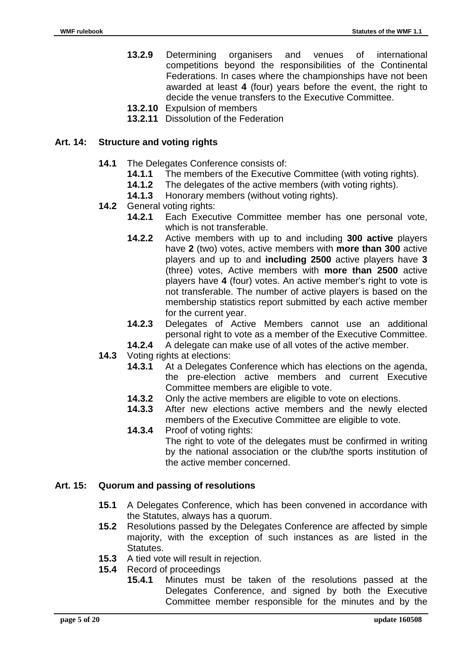- **13.2.9** Determining organisers and venues of international competitions beyond the responsibilities of the Continental Federations. In cases where the championships have not been awarded at least **4** (four) years before the event, the right to decide the venue transfers to the Executive Committee.
- **13.2.10** Expulsion of members
- **13.2.11** Dissolution of the Federation

#### **Art. 14: Structure and voting rights**

- **14.1** The Delegates Conference consists of:
	- **14.1.1** The members of the Executive Committee (with voting rights).
	- **14.1.2** The delegates of the active members (with voting rights).
	- **14.1.3** Honorary members (without voting rights).
- **14.2** General voting rights:
	- **14.2.1** Each Executive Committee member has one personal vote, which is not transferable.
	- **14.2.2** Active members with up to and including **300 active** players have **2** (two) votes, active members with **more than 300** active players and up to and **including 2500** active players have **3** (three) votes, Active members with **more than 2500** active players have **4** (four) votes. An active member's right to vote is not transferable. The number of active players is based on the membership statistics report submitted by each active member for the current year.
	- **14.2.3** Delegates of Active Members cannot use an additional personal right to vote as a member of the Executive Committee.
	- **14.2.4** A delegate can make use of all votes of the active member.
- 14.3 Voting rights at elections:
	- **14.3.1** At a Delegates Conference which has elections on the agenda, the pre-election active members and current Executive Committee members are eligible to vote.
	- **14.3.2** Only the active members are eligible to vote on elections.
	- **14.3.3** After new elections active members and the newly elected members of the Executive Committee are eligible to vote.
	- **14.3.4** Proof of voting rights: The right to vote of the delegates must be confirmed in writing by the national association or the club/the sports institution of the active member concerned.

#### **Art. 15: Quorum and passing of resolutions**

- **15.1** A Delegates Conference, which has been convened in accordance with the Statutes, always has a quorum.
- **15.2** Resolutions passed by the Delegates Conference are affected by simple majority, with the exception of such instances as are listed in the **Statutes**
- **15.3** A tied vote will result in rejection.
- **15.4** Record of proceedings
	- **15.4.1** Minutes must be taken of the resolutions passed at the Delegates Conference, and signed by both the Executive Committee member responsible for the minutes and by the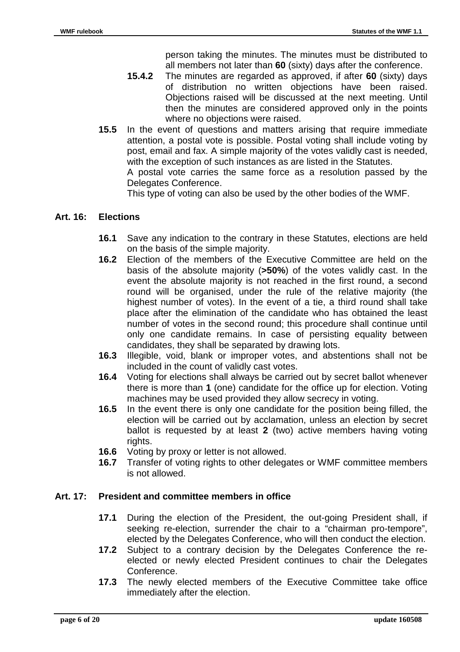person taking the minutes. The minutes must be distributed to all members not later than **60** (sixty) days after the conference.

- **15.4.2** The minutes are regarded as approved, if after **60** (sixty) days of distribution no written objections have been raised. Objections raised will be discussed at the next meeting. Until then the minutes are considered approved only in the points where no objections were raised.
- **15.5** In the event of questions and matters arising that require immediate attention, a postal vote is possible. Postal voting shall include voting by post, email and fax. A simple majority of the votes validly cast is needed, with the exception of such instances as are listed in the Statutes. A postal vote carries the same force as a resolution passed by the Delegates Conference.

This type of voting can also be used by the other bodies of the WMF.

#### **Art. 16: Elections**

- **16.1** Save any indication to the contrary in these Statutes, elections are held on the basis of the simple majority.
- **16.2** Election of the members of the Executive Committee are held on the basis of the absolute majority (**>50%**) of the votes validly cast. In the event the absolute majority is not reached in the first round, a second round will be organised, under the rule of the relative majority (the highest number of votes). In the event of a tie, a third round shall take place after the elimination of the candidate who has obtained the least number of votes in the second round; this procedure shall continue until only one candidate remains. In case of persisting equality between candidates, they shall be separated by drawing lots.
- **16.3** Illegible, void, blank or improper votes, and abstentions shall not be included in the count of validly cast votes.
- **16.4** Voting for elections shall always be carried out by secret ballot whenever there is more than **1** (one) candidate for the office up for election. Voting machines may be used provided they allow secrecy in voting.
- **16.5** In the event there is only one candidate for the position being filled, the election will be carried out by acclamation, unless an election by secret ballot is requested by at least **2** (two) active members having voting rights.
- **16.6** Voting by proxy or letter is not allowed.
- **16.7** Transfer of voting rights to other delegates or WMF committee members is not allowed.

#### **Art. 17: President and committee members in office**

- **17.1** During the election of the President, the out-going President shall, if seeking re-election, surrender the chair to a "chairman pro-tempore", elected by the Delegates Conference, who will then conduct the election.
- **17.2** Subject to a contrary decision by the Delegates Conference the reelected or newly elected President continues to chair the Delegates Conference.
- **17.3** The newly elected members of the Executive Committee take office immediately after the election.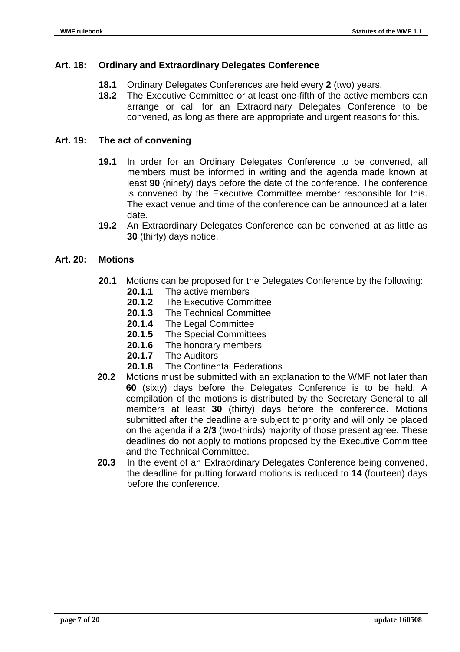#### **Art. 18: Ordinary and Extraordinary Delegates Conference**

- **18.1** Ordinary Delegates Conferences are held every **2** (two) years.
- **18.2** The Executive Committee or at least one-fifth of the active members can arrange or call for an Extraordinary Delegates Conference to be convened, as long as there are appropriate and urgent reasons for this.

#### **Art. 19: The act of convening**

- **19.1** In order for an Ordinary Delegates Conference to be convened, all members must be informed in writing and the agenda made known at least **90** (ninety) days before the date of the conference. The conference is convened by the Executive Committee member responsible for this. The exact venue and time of the conference can be announced at a later date.
- **19.2** An Extraordinary Delegates Conference can be convened at as little as **30** (thirty) days notice.

#### **Art. 20: Motions**

- **20.1** Motions can be proposed for the Delegates Conference by the following:
	- **20.1.1** The active members
	- **20.1.2** The Executive Committee
	- **20.1.3** The Technical Committee
	- **20.1.4** The Legal Committee
	- **20.1.5** The Special Committees
	- **20.1.6** The honorary members
	- **20.1.7** The Auditors
	- **20.1.8** The Continental Federations
- **20.2** Motions must be submitted with an explanation to the WMF not later than **60** (sixty) days before the Delegates Conference is to be held. A compilation of the motions is distributed by the Secretary General to all members at least **30** (thirty) days before the conference. Motions submitted after the deadline are subject to priority and will only be placed on the agenda if a **2/3** (two-thirds) majority of those present agree. These deadlines do not apply to motions proposed by the Executive Committee and the Technical Committee.
- **20.3** In the event of an Extraordinary Delegates Conference being convened, the deadline for putting forward motions is reduced to **14** (fourteen) days before the conference.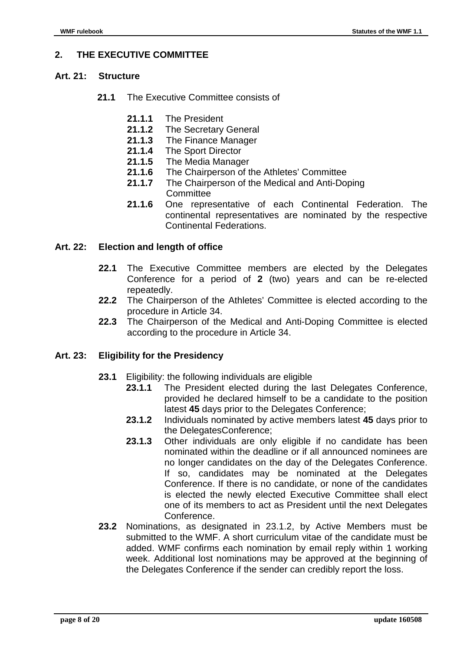#### **2. THE EXECUTIVE COMMITTEE**

#### **Art. 21: Structure**

- 21.1 The Executive Committee consists of
	- **21.1.1** The President
	- **21.1.2** The Secretary General
	- **21.1.3** The Finance Manager
	- **21.1.4** The Sport Director
	- **21.1.5** The Media Manager
	- **21.1.6** The Chairperson of the Athletes' Committee
	- **21.1.7** The Chairperson of the Medical and Anti-Doping **Committee**
	- **21.1.6** One representative of each Continental Federation. The continental representatives are nominated by the respective Continental Federations.

#### **Art. 22: Election and length of office**

- **22.1** The Executive Committee members are elected by the Delegates Conference for a period of **2** (two) years and can be re-elected repeatedly.
- **22.2** The Chairperson of the Athletes' Committee is elected according to the procedure in Article 34.
- **22.3** The Chairperson of the Medical and Anti-Doping Committee is elected according to the procedure in Article 34.

#### **Art. 23: Eligibility for the Presidency**

- **23.1** Eligibility: the following individuals are eligible
	- **23.1.1** The President elected during the last Delegates Conference, provided he declared himself to be a candidate to the position latest **45** days prior to the Delegates Conference;
	- **23.1.2** Individuals nominated by active members latest **45** days prior to the DelegatesConference;
	- **23.1.3** Other individuals are only eligible if no candidate has been nominated within the deadline or if all announced nominees are no longer candidates on the day of the Delegates Conference. If so, candidates may be nominated at the Delegates Conference. If there is no candidate, or none of the candidates is elected the newly elected Executive Committee shall elect one of its members to act as President until the next Delegates Conference.
- **23.2** Nominations, as designated in 23.1.2, by Active Members must be submitted to the WMF. A short curriculum vitae of the candidate must be added. WMF confirms each nomination by email reply within 1 working week. Additional lost nominations may be approved at the beginning of the Delegates Conference if the sender can credibly report the loss.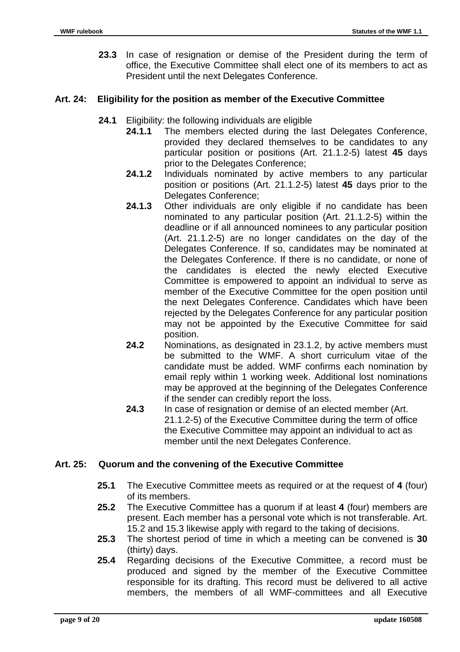**23.3** In case of resignation or demise of the President during the term of office, the Executive Committee shall elect one of its members to act as President until the next Delegates Conference.

#### **Art. 24: Eligibility for the position as member of the Executive Committee**

- **24.1** Eligibility: the following individuals are eligible
	- **24.1.1** The members elected during the last Delegates Conference, provided they declared themselves to be candidates to any particular position or positions (Art. 21.1.2-5) latest **45** days prior to the Delegates Conference;
	- **24.1.2** Individuals nominated by active members to any particular position or positions (Art. 21.1.2-5) latest **45** days prior to the Delegates Conference;
	- **24.1.3** Other individuals are only eligible if no candidate has been nominated to any particular position (Art. 21.1.2-5) within the deadline or if all announced nominees to any particular position (Art. 21.1.2-5) are no longer candidates on the day of the Delegates Conference. If so, candidates may be nominated at the Delegates Conference. If there is no candidate, or none of the candidates is elected the newly elected Executive Committee is empowered to appoint an individual to serve as member of the Executive Committee for the open position until the next Delegates Conference. Candidates which have been rejected by the Delegates Conference for any particular position may not be appointed by the Executive Committee for said position.
	- **24.2** Nominations, as designated in 23.1.2, by active members must be submitted to the WMF. A short curriculum vitae of the candidate must be added. WMF confirms each nomination by email reply within 1 working week. Additional lost nominations may be approved at the beginning of the Delegates Conference if the sender can credibly report the loss.
	- **24.3** In case of resignation or demise of an elected member (Art. 21.1.2-5) of the Executive Committee during the term of office the Executive Committee may appoint an individual to act as member until the next Delegates Conference.

#### **Art. 25: Quorum and the convening of the Executive Committee**

- **25.1** The Executive Committee meets as required or at the request of **4** (four) of its members.
- **25.2** The Executive Committee has a quorum if at least **4** (four) members are present. Each member has a personal vote which is not transferable. Art. 15.2 and 15.3 likewise apply with regard to the taking of decisions.
- **25.3** The shortest period of time in which a meeting can be convened is **30** (thirty) days.
- **25.4** Regarding decisions of the Executive Committee, a record must be produced and signed by the member of the Executive Committee responsible for its drafting. This record must be delivered to all active members, the members of all WMF-committees and all Executive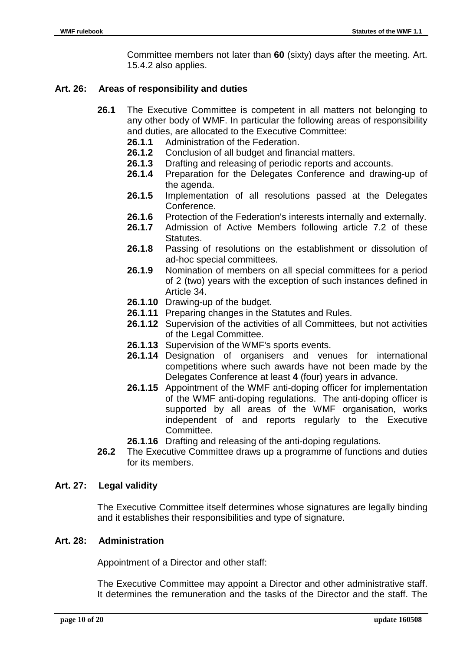Committee members not later than **60** (sixty) days after the meeting. Art. 15.4.2 also applies.

#### **Art. 26: Areas of responsibility and duties**

- **26.1** The Executive Committee is competent in all matters not belonging to any other body of WMF. In particular the following areas of responsibility and duties, are allocated to the Executive Committee:
	- **26.1.1** Administration of the Federation.
	- **26.1.2** Conclusion of all budget and financial matters.
	- **26.1.3** Drafting and releasing of periodic reports and accounts.
	- **26.1.4** Preparation for the Delegates Conference and drawing-up of the agenda.
	- **26.1.5** Implementation of all resolutions passed at the Delegates Conference.
	- **26.1.6** Protection of the Federation's interests internally and externally.
	- **26.1.7** Admission of Active Members following article 7.2 of these Statutes.
	- **26.1.8** Passing of resolutions on the establishment or dissolution of ad-hoc special committees.
	- **26.1.9** Nomination of members on all special committees for a period of 2 (two) years with the exception of such instances defined in Article 34.
	- **26.1.10** Drawing-up of the budget.
	- **26.1.11** Preparing changes in the Statutes and Rules.
	- **26.1.12** Supervision of the activities of all Committees, but not activities of the Legal Committee.
	- **26.1.13** Supervision of the WMF's sports events.
	- **26.1.14** Designation of organisers and venues for international competitions where such awards have not been made by the Delegates Conference at least **4** (four) years in advance.
	- **26.1.15** Appointment of the WMF anti-doping officer for implementation of the WMF anti-doping regulations. The anti-doping officer is supported by all areas of the WMF organisation, works independent of and reports regularly to the Executive Committee.
	- **26.1.16** Drafting and releasing of the anti-doping regulations.
- **26.2** The Executive Committee draws up a programme of functions and duties for its members.

#### **Art. 27: Legal validity**

The Executive Committee itself determines whose signatures are legally binding and it establishes their responsibilities and type of signature.

#### **Art. 28: Administration**

Appointment of a Director and other staff:

The Executive Committee may appoint a Director and other administrative staff. It determines the remuneration and the tasks of the Director and the staff. The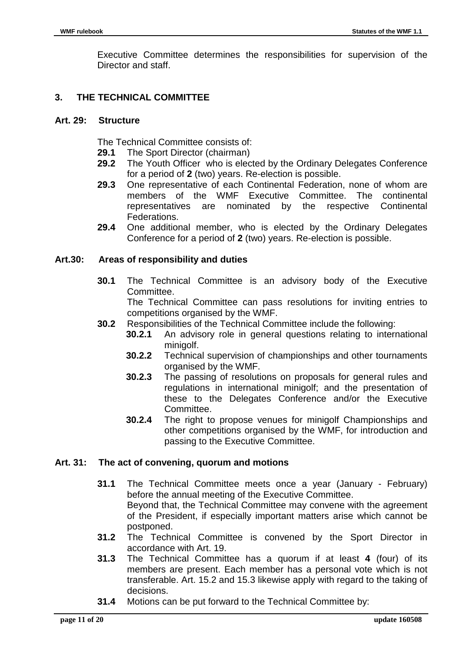Executive Committee determines the responsibilities for supervision of the Director and staff.

#### **3. THE TECHNICAL COMMITTEE**

#### **Art. 29: Structure**

The Technical Committee consists of:

- **29.1** The Sport Director (chairman)
- **29.2** The Youth Officer who is elected by the Ordinary Delegates Conference for a period of **2** (two) years. Re-election is possible.
- **29.3** One representative of each Continental Federation, none of whom are members of the WMF Executive Committee. The continental representatives are nominated by the respective Continental Federations.
- **29.4** One additional member, who is elected by the Ordinary Delegates Conference for a period of **2** (two) years. Re-election is possible.

#### **Art.30: Areas of responsibility and duties**

**30.1** The Technical Committee is an advisory body of the Executive Committee.

The Technical Committee can pass resolutions for inviting entries to competitions organised by the WMF.

- **30.2** Responsibilities of the Technical Committee include the following:
	- **30.2.1** An advisory role in general questions relating to international minigolf.
		- **30.2.2** Technical supervision of championships and other tournaments organised by the WMF.
		- **30.2.3** The passing of resolutions on proposals for general rules and regulations in international minigolf; and the presentation of these to the Delegates Conference and/or the Executive Committee.
		- **30.2.4** The right to propose venues for minigolf Championships and other competitions organised by the WMF, for introduction and passing to the Executive Committee.

#### **Art. 31: The act of convening, quorum and motions**

- **31.1** The Technical Committee meets once a year (January February) before the annual meeting of the Executive Committee. Beyond that, the Technical Committee may convene with the agreement of the President, if especially important matters arise which cannot be postponed.
- **31.2** The Technical Committee is convened by the Sport Director in accordance with Art. 19.
- **31.3** The Technical Committee has a quorum if at least **4** (four) of its members are present. Each member has a personal vote which is not transferable. Art. 15.2 and 15.3 likewise apply with regard to the taking of decisions.
- **31.4** Motions can be put forward to the Technical Committee by: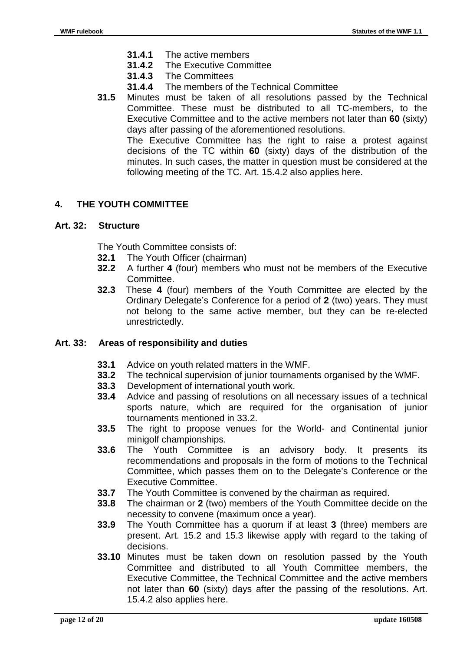- **31.4.1** The active members
- **31.4.2** The Executive Committee
- **31.4.3** The Committees
- **31.4.4** The members of the Technical Committee
- **31.5** Minutes must be taken of all resolutions passed by the Technical Committee. These must be distributed to all TC-members, to the Executive Committee and to the active members not later than **60** (sixty) days after passing of the aforementioned resolutions.

The Executive Committee has the right to raise a protest against decisions of the TC within **60** (sixty) days of the distribution of the minutes. In such cases, the matter in question must be considered at the following meeting of the TC. Art. 15.4.2 also applies here.

### **4. THE YOUTH COMMITTEE**

#### **Art. 32: Structure**

The Youth Committee consists of:

- **32.1** The Youth Officer (chairman)
- **32.2** A further **4** (four) members who must not be members of the Executive Committee.
- **32.3** These **4** (four) members of the Youth Committee are elected by the Ordinary Delegate's Conference for a period of **2** (two) years. They must not belong to the same active member, but they can be re-elected unrestrictedly.

#### **Art. 33: Areas of responsibility and duties**

- **33.1** Advice on youth related matters in the WMF.
- **33.2** The technical supervision of junior tournaments organised by the WMF.
- **33.3** Development of international youth work.
- **33.4** Advice and passing of resolutions on all necessary issues of a technical sports nature, which are required for the organisation of junior tournaments mentioned in 33.2.
- **33.5** The right to propose venues for the World- and Continental junior minigolf championships.
- **33.6** The Youth Committee is an advisory body. It presents its recommendations and proposals in the form of motions to the Technical Committee, which passes them on to the Delegate's Conference or the Executive Committee.
- **33.7** The Youth Committee is convened by the chairman as required.
- **33.8** The chairman or **2** (two) members of the Youth Committee decide on the necessity to convene (maximum once a year).
- **33.9** The Youth Committee has a quorum if at least **3** (three) members are present. Art. 15.2 and 15.3 likewise apply with regard to the taking of decisions.
- **33.10** Minutes must be taken down on resolution passed by the Youth Committee and distributed to all Youth Committee members, the Executive Committee, the Technical Committee and the active members not later than **60** (sixty) days after the passing of the resolutions. Art. 15.4.2 also applies here.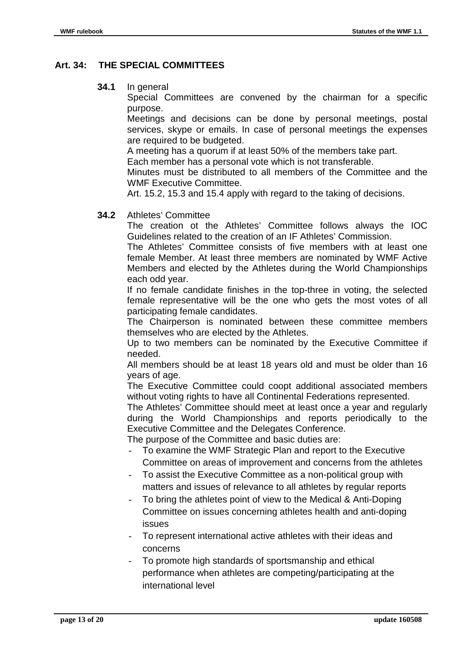#### **Art. 34: THE SPECIAL COMMITTEES**

**34.1** In general

Special Committees are convened by the chairman for a specific purpose.

Meetings and decisions can be done by personal meetings, postal services, skype or emails. In case of personal meetings the expenses are required to be budgeted.

A meeting has a quorum if at least 50% of the members take part.

Each member has a personal vote which is not transferable.

Minutes must be distributed to all members of the Committee and the WMF Executive Committee.

Art. 15.2, 15.3 and 15.4 apply with regard to the taking of decisions.

#### **34.2** Athletes' Committee

The creation ot the Athletes' Committee follows always the IOC Guidelines related to the creation of an IF Athletes' Commission.

The Athletes' Committee consists of five members with at least one female Member. At least three members are nominated by WMF Active Members and elected by the Athletes during the World Championships each odd year.

If no female candidate finishes in the top-three in voting, the selected female representative will be the one who gets the most votes of all participating female candidates.

The Chairperson is nominated between these committee members themselves who are elected by the Athletes.

Up to two members can be nominated by the Executive Committee if needed.

All members should be at least 18 years old and must be older than 16 years of age.

The Executive Committee could coopt additional associated members without voting rights to have all Continental Federations represented.

The Athletes' Committee should meet at least once a year and regularly during the World Championships and reports periodically to the Executive Committee and the Delegates Conference.

The purpose of the Committee and basic duties are:

- To examine the WMF Strategic Plan and report to the Executive Committee on areas of improvement and concerns from the athletes
- To assist the Executive Committee as a non-political group with matters and issues of relevance to all athletes by regular reports
- To bring the athletes point of view to the Medical & Anti-Doping Committee on issues concerning athletes health and anti-doping issues
- To represent international active athletes with their ideas and concerns
- To promote high standards of sportsmanship and ethical performance when athletes are competing/participating at the international level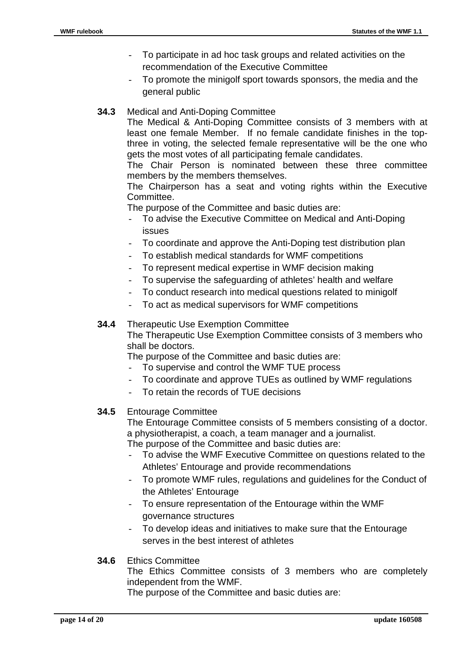- To participate in ad hoc task groups and related activities on the recommendation of the Executive Committee
- To promote the minigolf sport towards sponsors, the media and the general public
- **34.3** Medical and Anti-Doping Committee

The Medical & Anti-Doping Committee consists of 3 members with at least one female Member. If no female candidate finishes in the topthree in voting, the selected female representative will be the one who gets the most votes of all participating female candidates.

The Chair Person is nominated between these three committee members by the members themselves.

The Chairperson has a seat and voting rights within the Executive Committee.

The purpose of the Committee and basic duties are:

- To advise the Executive Committee on Medical and Anti-Doping issues
- To coordinate and approve the Anti-Doping test distribution plan
- To establish medical standards for WMF competitions
- To represent medical expertise in WMF decision making
- To supervise the safeguarding of athletes' health and welfare
- To conduct research into medical questions related to minigolf
- To act as medical supervisors for WMF competitions

#### **34.4** Therapeutic Use Exemption Committee

The Therapeutic Use Exemption Committee consists of 3 members who shall be doctors.

The purpose of the Committee and basic duties are:

- To supervise and control the WMF TUE process
- To coordinate and approve TUEs as outlined by WMF regulations
- To retain the records of TUE decisions

#### **34.5** Entourage Committee

The Entourage Committee consists of 5 members consisting of a doctor. a physiotherapist, a coach, a team manager and a journalist. The purpose of the Committee and basic duties are:

- To advise the WMF Executive Committee on questions related to the Athletes' Entourage and provide recommendations
- To promote WMF rules, regulations and guidelines for the Conduct of the Athletes' Entourage
- To ensure representation of the Entourage within the WMF governance structures
- To develop ideas and initiatives to make sure that the Entourage serves in the best interest of athletes

#### **34.6** Ethics Committee

The Ethics Committee consists of 3 members who are completely independent from the WMF.

The purpose of the Committee and basic duties are: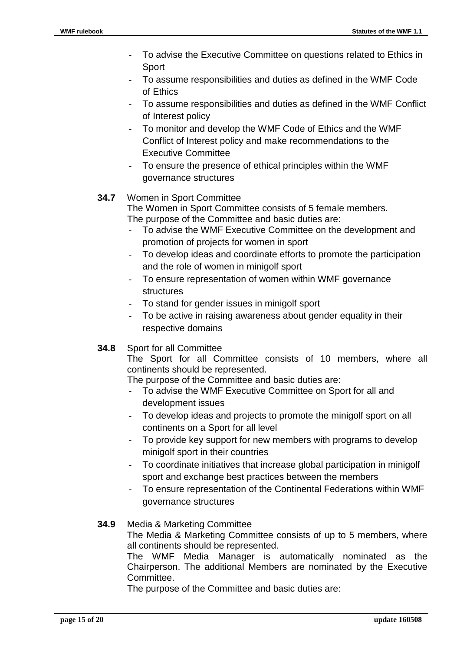- To advise the Executive Committee on questions related to Ethics in **Sport**
- To assume responsibilities and duties as defined in the WMF Code of Ethics
- To assume responsibilities and duties as defined in the WMF Conflict of Interest policy
- To monitor and develop the WMF Code of Ethics and the WMF Conflict of Interest policy and make recommendations to the Executive Committee
- To ensure the presence of ethical principles within the WMF governance structures

## **34.7** Women in Sport Committee

The Women in Sport Committee consists of 5 female members. The purpose of the Committee and basic duties are:

- To advise the WMF Executive Committee on the development and promotion of projects for women in sport
- To develop ideas and coordinate efforts to promote the participation and the role of women in minigolf sport
- To ensure representation of women within WMF governance structures
- To stand for gender issues in minigolf sport
- To be active in raising awareness about gender equality in their respective domains
- **34.8** Sport for all Committee

The Sport for all Committee consists of 10 members, where all continents should be represented.

The purpose of the Committee and basic duties are:

- To advise the WMF Executive Committee on Sport for all and development issues
- To develop ideas and projects to promote the minigolf sport on all continents on a Sport for all level
- To provide key support for new members with programs to develop minigolf sport in their countries
- To coordinate initiatives that increase global participation in minigolf sport and exchange best practices between the members
- To ensure representation of the Continental Federations within WMF governance structures

## **34.9** Media & Marketing Committee

The Media & Marketing Committee consists of up to 5 members, where all continents should be represented.

 The WMF Media Manager is automatically nominated as the Chairperson. The additional Members are nominated by the Executive Committee.

The purpose of the Committee and basic duties are: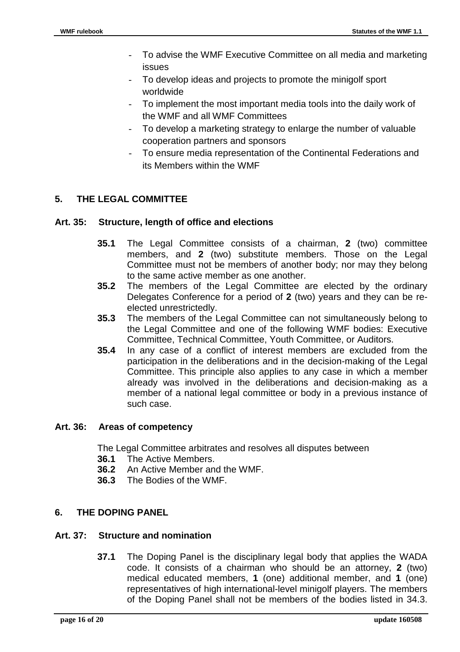- To advise the WMF Executive Committee on all media and marketing issues
- To develop ideas and projects to promote the minigolf sport worldwide
- To implement the most important media tools into the daily work of the WMF and all WMF Committees
- To develop a marketing strategy to enlarge the number of valuable cooperation partners and sponsors
- To ensure media representation of the Continental Federations and its Members within the WMF

## **5. THE LEGAL COMMITTEE**

#### **Art. 35: Structure, length of office and elections**

- **35.1** The Legal Committee consists of a chairman, **2** (two) committee members, and **2** (two) substitute members. Those on the Legal Committee must not be members of another body; nor may they belong to the same active member as one another.
- **35.2** The members of the Legal Committee are elected by the ordinary Delegates Conference for a period of **2** (two) years and they can be reelected unrestrictedly.
- **35.3** The members of the Legal Committee can not simultaneously belong to the Legal Committee and one of the following WMF bodies: Executive Committee, Technical Committee, Youth Committee, or Auditors.
- **35.4** In any case of a conflict of interest members are excluded from the participation in the deliberations and in the decision-making of the Legal Committee. This principle also applies to any case in which a member already was involved in the deliberations and decision-making as a member of a national legal committee or body in a previous instance of such case.

#### **Art. 36: Areas of competency**

The Legal Committee arbitrates and resolves all disputes between

- **36.1** The Active Members.
- **36.2** An Active Member and the WMF.
- **36.3** The Bodies of the WMF.

## **6. THE DOPING PANEL**

#### **Art. 37: Structure and nomination**

**37.1** The Doping Panel is the disciplinary legal body that applies the WADA code. It consists of a chairman who should be an attorney, **2** (two) medical educated members, **1** (one) additional member, and **1** (one) representatives of high international-level minigolf players. The members of the Doping Panel shall not be members of the bodies listed in 34.3.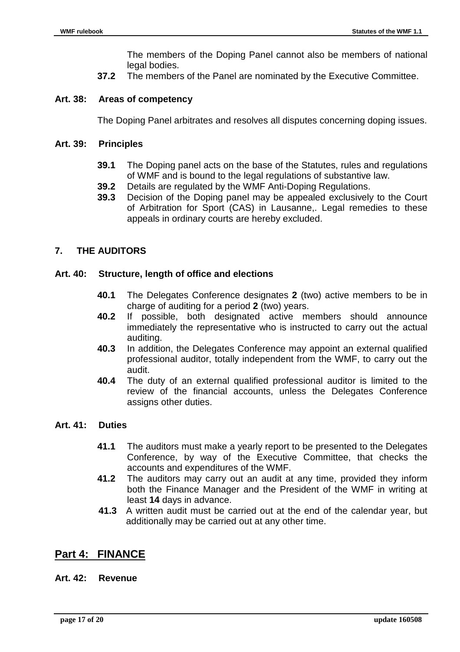The members of the Doping Panel cannot also be members of national legal bodies.

**37.2** The members of the Panel are nominated by the Executive Committee.

#### **Art. 38: Areas of competency**

The Doping Panel arbitrates and resolves all disputes concerning doping issues.

#### **Art. 39: Principles**

- **39.1** The Doping panel acts on the base of the Statutes, rules and regulations of WMF and is bound to the legal regulations of substantive law.
- **39.2** Details are regulated by the WMF Anti-Doping Regulations.
- **39.3** Decision of the Doping panel may be appealed exclusively to the Court of Arbitration for Sport (CAS) in Lausanne,. Legal remedies to these appeals in ordinary courts are hereby excluded.

#### **7. THE AUDITORS**

#### **Art. 40: Structure, length of office and elections**

- **40.1** The Delegates Conference designates **2** (two) active members to be in charge of auditing for a period **2** (two) years.
- **40.2** If possible, both designated active members should announce immediately the representative who is instructed to carry out the actual auditing.
- **40.3** In addition, the Delegates Conference may appoint an external qualified professional auditor, totally independent from the WMF, to carry out the audit.
- **40.4** The duty of an external qualified professional auditor is limited to the review of the financial accounts, unless the Delegates Conference assigns other duties.

#### **Art. 41: Duties**

- **41.1** The auditors must make a yearly report to be presented to the Delegates Conference, by way of the Executive Committee, that checks the accounts and expenditures of the WMF.
- **41.2** The auditors may carry out an audit at any time, provided they inform both the Finance Manager and the President of the WMF in writing at least **14** days in advance.
- **41.3** A written audit must be carried out at the end of the calendar year, but additionally may be carried out at any other time.

## **Part 4: FINANCE**

#### **Art. 42: Revenue**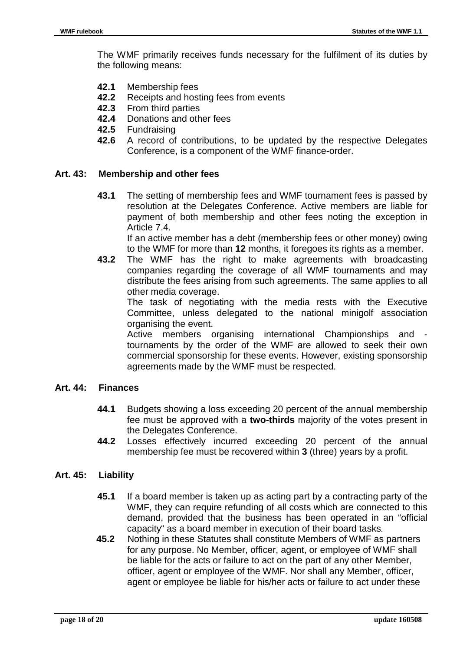The WMF primarily receives funds necessary for the fulfilment of its duties by the following means:

- **42.1** Membership fees
- **42.2** Receipts and hosting fees from events
- **42.3** From third parties
- **42.4** Donations and other fees
- **42.5** Fundraising
- **42.6** A record of contributions, to be updated by the respective Delegates Conference, is a component of the WMF finance-order.

#### **Art. 43: Membership and other fees**

**43.1** The setting of membership fees and WMF tournament fees is passed by resolution at the Delegates Conference. Active members are liable for payment of both membership and other fees noting the exception in Article 7.4.

 If an active member has a debt (membership fees or other money) owing to the WMF for more than **12** months, it foregoes its rights as a member.

**43.2** The WMF has the right to make agreements with broadcasting companies regarding the coverage of all WMF tournaments and may distribute the fees arising from such agreements. The same applies to all other media coverage.

 The task of negotiating with the media rests with the Executive Committee, unless delegated to the national minigolf association organising the event.

 Active members organising international Championships and tournaments by the order of the WMF are allowed to seek their own commercial sponsorship for these events. However, existing sponsorship agreements made by the WMF must be respected.

#### **Art. 44: Finances**

- **44.1** Budgets showing a loss exceeding 20 percent of the annual membership fee must be approved with a **two-thirds** majority of the votes present in the Delegates Conference.
- **44.2** Losses effectively incurred exceeding 20 percent of the annual membership fee must be recovered within **3** (three) years by a profit.

#### **Art. 45: Liability**

- **45.1** If a board member is taken up as acting part by a contracting party of the WMF, they can require refunding of all costs which are connected to this demand, provided that the business has been operated in an "official capacity" as a board member in execution of their board tasks.
- **45.2** Nothing in these Statutes shall constitute Members of WMF as partners for any purpose. No Member, officer, agent, or employee of WMF shall be liable for the acts or failure to act on the part of any other Member, officer, agent or employee of the WMF. Nor shall any Member, officer, agent or employee be liable for his/her acts or failure to act under these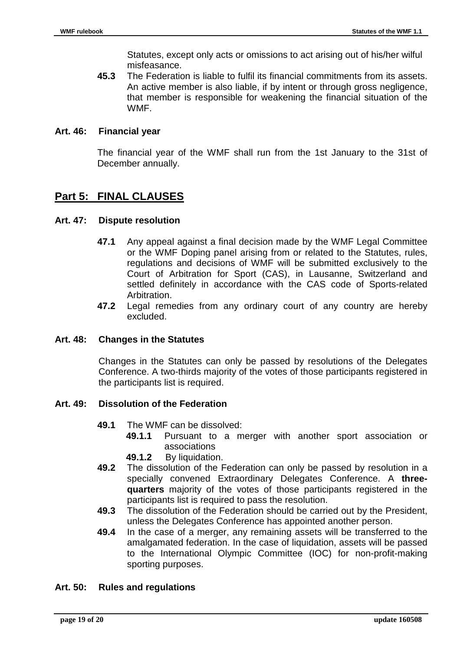Statutes, except only acts or omissions to act arising out of his/her wilful misfeasance.

**45.3** The Federation is liable to fulfil its financial commitments from its assets. An active member is also liable, if by intent or through gross negligence, that member is responsible for weakening the financial situation of the WMF.

#### **Art. 46: Financial year**

The financial year of the WMF shall run from the 1st January to the 31st of December annually.

## **Part 5: FINAL CLAUSES**

#### **Art. 47: Dispute resolution**

- **47.1** Any appeal against a final decision made by the WMF Legal Committee or the WMF Doping panel arising from or related to the Statutes, rules, regulations and decisions of WMF will be submitted exclusively to the Court of Arbitration for Sport (CAS), in Lausanne, Switzerland and settled definitely in accordance with the CAS code of Sports-related Arbitration.
- **47.2** Legal remedies from any ordinary court of any country are hereby excluded.

#### **Art. 48: Changes in the Statutes**

Changes in the Statutes can only be passed by resolutions of the Delegates Conference. A two-thirds majority of the votes of those participants registered in the participants list is required.

#### **Art. 49: Dissolution of the Federation**

- **49.1** The WMF can be dissolved:
	- **49.1.1** Pursuant to a merger with another sport association or associations
	- **49.1.2** By liquidation.
- **49.2** The dissolution of the Federation can only be passed by resolution in a specially convened Extraordinary Delegates Conference. A **threequarters** majority of the votes of those participants registered in the participants list is required to pass the resolution.
- **49.3** The dissolution of the Federation should be carried out by the President, unless the Delegates Conference has appointed another person.
- **49.4** In the case of a merger, any remaining assets will be transferred to the amalgamated federation. In the case of liquidation, assets will be passed to the International Olympic Committee (IOC) for non-profit-making sporting purposes.

#### **Art. 50: Rules and regulations**